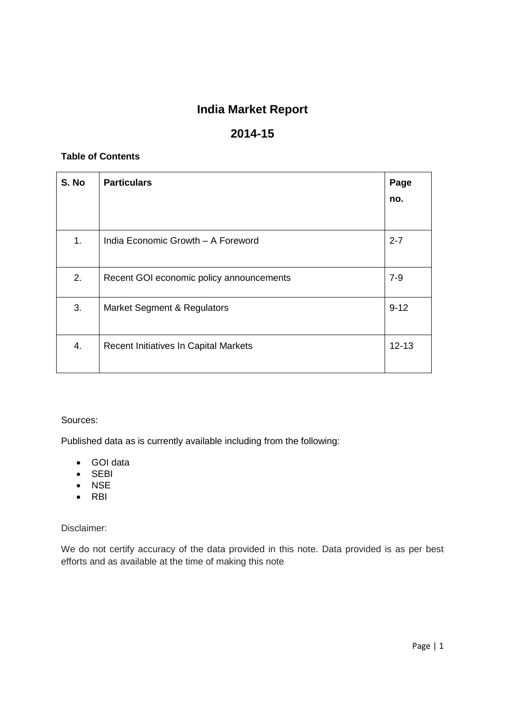# **India Market Report**

# **2014-15**

#### **Table of Contents**

| S. No | <b>Particulars</b>                       | Page<br>no. |
|-------|------------------------------------------|-------------|
| 1.    | India Economic Growth - A Foreword       | $2 - 7$     |
| 2.    | Recent GOI economic policy announcements | $7 - 9$     |
| 3.    | Market Segment & Regulators              | $9 - 12$    |
| 4.    | Recent Initiatives In Capital Markets    | $12 - 13$   |

#### Sources:

Published data as is currently available including from the following:

- GOI data
- SEBI
- NSE
- $\bullet$  RBI

Disclaimer:

We do not certify accuracy of the data provided in this note. Data provided is as per best efforts and as available at the time of making this note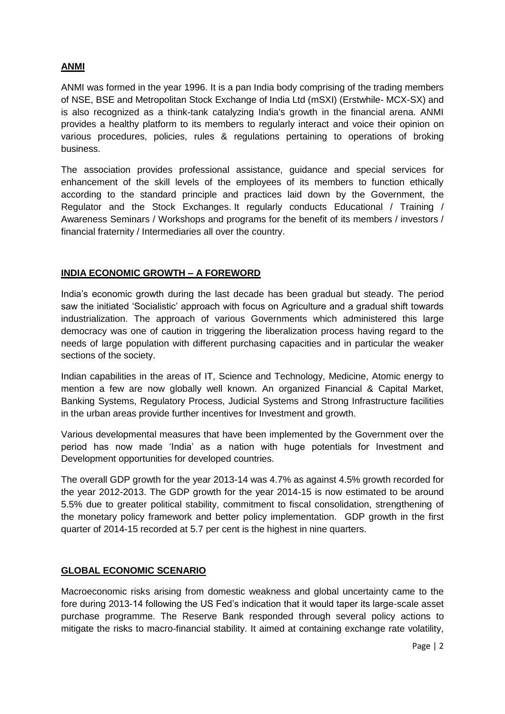# **ANMI**

ANMI was formed in the year 1996. It is a pan India body comprising of the trading members of NSE, BSE and Metropolitan Stock Exchange of India Ltd (mSXI) (Erstwhile- MCX-SX) and is also recognized as a think-tank catalyzing India's growth in the financial arena. ANMI provides a healthy platform to its members to regularly interact and voice their opinion on various procedures, policies, rules & regulations pertaining to operations of broking business.

The association provides professional assistance, guidance and special services for enhancement of the skill levels of the employees of its members to function ethically according to the standard principle and practices laid down by the Government, the Regulator and the Stock Exchanges. It regularly conducts Educational / Training / Awareness Seminars / Workshops and programs for the benefit of its members / investors / financial fraternity / Intermediaries all over the country.

#### **INDIA ECONOMIC GROWTH – A FOREWORD**

India's economic growth during the last decade has been gradual but steady. The period saw the initiated 'Socialistic' approach with focus on Agriculture and a gradual shift towards industrialization. The approach of various Governments which administered this large democracy was one of caution in triggering the liberalization process having regard to the needs of large population with different purchasing capacities and in particular the weaker sections of the society.

Indian capabilities in the areas of IT, Science and Technology, Medicine, Atomic energy to mention a few are now globally well known. An organized Financial & Capital Market, Banking Systems, Regulatory Process, Judicial Systems and Strong Infrastructure facilities in the urban areas provide further incentives for Investment and growth.

Various developmental measures that have been implemented by the Government over the period has now made 'India' as a nation with huge potentials for Investment and Development opportunities for developed countries.

The overall GDP growth for the year 2013-14 was 4.7% as against 4.5% growth recorded for the year 2012-2013. The GDP growth for the year 2014-15 is now estimated to be around 5.5% due to greater political stability, commitment to fiscal consolidation, strengthening of the monetary policy framework and better policy implementation. GDP growth in the first quarter of 2014-15 recorded at 5.7 per cent is the highest in nine quarters.

#### **GLOBAL ECONOMIC SCENARIO**

Macroeconomic risks arising from domestic weakness and global uncertainty came to the fore during 2013-14 following the US Fed's indication that it would taper its large-scale asset purchase programme. The Reserve Bank responded through several policy actions to mitigate the risks to macro-financial stability. It aimed at containing exchange rate volatility,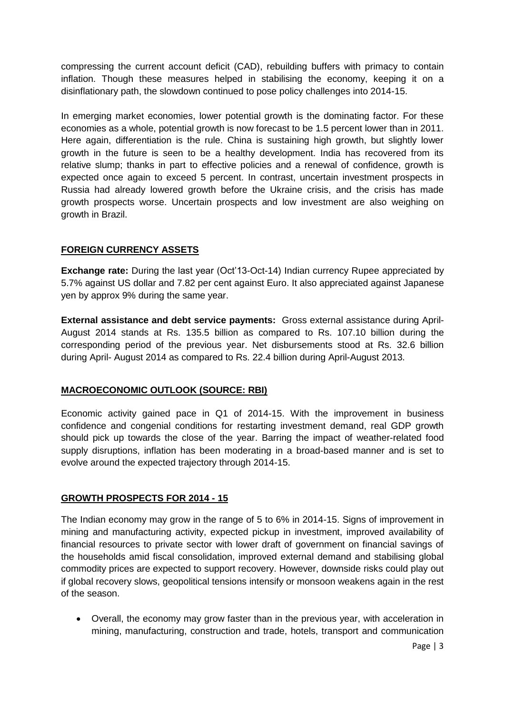compressing the current account deficit (CAD), rebuilding buffers with primacy to contain inflation. Though these measures helped in stabilising the economy, keeping it on a disinflationary path, the slowdown continued to pose policy challenges into 2014-15.

In emerging market economies, lower potential growth is the dominating factor. For these economies as a whole, potential growth is now forecast to be 1.5 percent lower than in 2011. Here again, differentiation is the rule. China is sustaining high growth, but slightly lower growth in the future is seen to be a healthy development. India has recovered from its relative slump; thanks in part to effective policies and a renewal of confidence, growth is expected once again to exceed 5 percent. In contrast, uncertain investment prospects in Russia had already lowered growth before the Ukraine crisis, and the crisis has made growth prospects worse. Uncertain prospects and low investment are also weighing on growth in Brazil.

# **FOREIGN CURRENCY ASSETS**

**Exchange rate:** During the last year (Oct'13-Oct-14) Indian currency Rupee appreciated by 5.7% against US dollar and 7.82 per cent against Euro. It also appreciated against Japanese yen by approx 9% during the same year.

**External assistance and debt service payments:** Gross external assistance during April-August 2014 stands at Rs. 135.5 billion as compared to Rs. 107.10 billion during the corresponding period of the previous year. Net disbursements stood at Rs. 32.6 billion during April- August 2014 as compared to Rs. 22.4 billion during April-August 2013.

# **MACROECONOMIC OUTLOOK (SOURCE: RBI)**

Economic activity gained pace in Q1 of 2014-15. With the improvement in business confidence and congenial conditions for restarting investment demand, real GDP growth should pick up towards the close of the year. Barring the impact of weather-related food supply disruptions, inflation has been moderating in a broad-based manner and is set to evolve around the expected trajectory through 2014-15.

# **GROWTH PROSPECTS FOR 2014 - 15**

The Indian economy may grow in the range of 5 to 6% in 2014-15. Signs of improvement in mining and manufacturing activity, expected pickup in investment, improved availability of financial resources to private sector with lower draft of government on financial savings of the households amid fiscal consolidation, improved external demand and stabilising global commodity prices are expected to support recovery. However, downside risks could play out if global recovery slows, geopolitical tensions intensify or monsoon weakens again in the rest of the season.

 Overall, the economy may grow faster than in the previous year, with acceleration in mining, manufacturing, construction and trade, hotels, transport and communication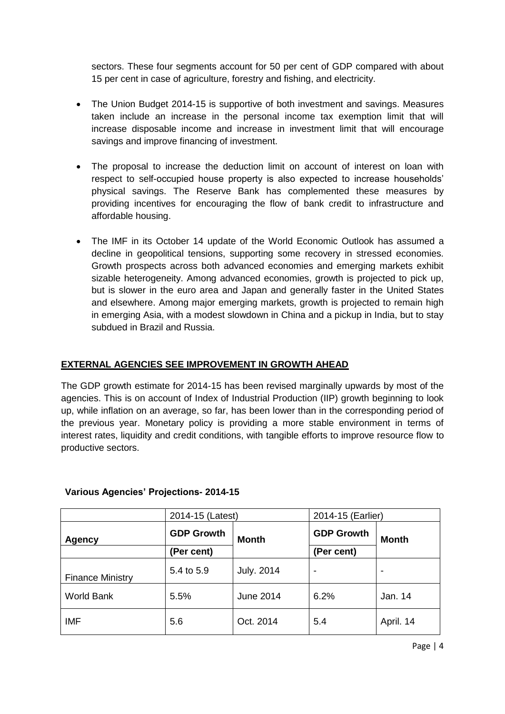sectors. These four segments account for 50 per cent of GDP compared with about 15 per cent in case of agriculture, forestry and fishing, and electricity.

- The Union Budget 2014-15 is supportive of both investment and savings. Measures taken include an increase in the personal income tax exemption limit that will increase disposable income and increase in investment limit that will encourage savings and improve financing of investment.
- The proposal to increase the deduction limit on account of interest on loan with respect to self-occupied house property is also expected to increase households' physical savings. The Reserve Bank has complemented these measures by providing incentives for encouraging the flow of bank credit to infrastructure and affordable housing.
- The IMF in its October 14 update of the World Economic Outlook has assumed a decline in geopolitical tensions, supporting some recovery in stressed economies. Growth prospects across both advanced economies and emerging markets exhibit sizable heterogeneity. Among advanced economies, growth is projected to pick up, but is slower in the euro area and Japan and generally faster in the United States and elsewhere. Among major emerging markets, growth is projected to remain high in emerging Asia, with a modest slowdown in China and a pickup in India, but to stay subdued in Brazil and Russia.

# **EXTERNAL AGENCIES SEE IMPROVEMENT IN GROWTH AHEAD**

The GDP growth estimate for 2014-15 has been revised marginally upwards by most of the agencies. This is on account of Index of Industrial Production (IIP) growth beginning to look up, while inflation on an average, so far, has been lower than in the corresponding period of the previous year. Monetary policy is providing a more stable environment in terms of interest rates, liquidity and credit conditions, with tangible efforts to improve resource flow to productive sectors.

|                         | 2014-15 (Latest)  |                   | 2014-15 (Earlier) |           |  |
|-------------------------|-------------------|-------------------|-------------------|-----------|--|
| Agency                  | <b>GDP Growth</b> | <b>Month</b>      | <b>GDP Growth</b> | Month     |  |
|                         | (Per cent)        |                   | (Per cent)        |           |  |
| <b>Finance Ministry</b> | 5.4 to 5.9        | <b>July. 2014</b> |                   |           |  |
| <b>World Bank</b>       | 5.5%              | June 2014         | 6.2%              | Jan. 14   |  |
| <b>IMF</b>              | 5.6               | Oct. 2014         | 5.4               | April. 14 |  |

# **Various Agencies' Projections- 2014-15**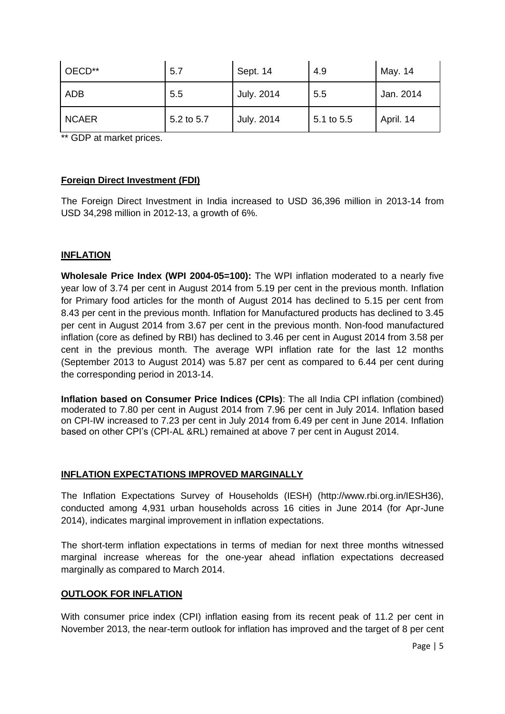| OECD**       | 5.7        | Sept. 14   | 4.9        | May. 14   |
|--------------|------------|------------|------------|-----------|
| ADB          | 5.5        | July. 2014 | 5.5        | Jan. 2014 |
| <b>NCAER</b> | 5.2 to 5.7 | July. 2014 | 5.1 to 5.5 | April. 14 |

\*\* GDP at market prices.

#### **Foreign Direct Investment (FDI)**

The Foreign Direct Investment in India increased to USD 36,396 million in 2013-14 from USD 34,298 million in 2012-13, a growth of 6%.

# **INFLATION**

**Wholesale Price Index (WPI 2004-05=100):** The WPI inflation moderated to a nearly five year low of 3.74 per cent in August 2014 from 5.19 per cent in the previous month. Inflation for Primary food articles for the month of August 2014 has declined to 5.15 per cent from 8.43 per cent in the previous month. Inflation for Manufactured products has declined to 3.45 per cent in August 2014 from 3.67 per cent in the previous month. Non-food manufactured inflation (core as defined by RBI) has declined to 3.46 per cent in August 2014 from 3.58 per cent in the previous month. The average WPI inflation rate for the last 12 months (September 2013 to August 2014) was 5.87 per cent as compared to 6.44 per cent during the corresponding period in 2013-14.

**Inflation based on Consumer Price Indices (CPIs)**: The all India CPI inflation (combined) moderated to 7.80 per cent in August 2014 from 7.96 per cent in July 2014. Inflation based on CPI-IW increased to 7.23 per cent in July 2014 from 6.49 per cent in June 2014. Inflation based on other CPI's (CPI-AL &RL) remained at above 7 per cent in August 2014.

#### **INFLATION EXPECTATIONS IMPROVED MARGINALLY**

The Inflation Expectations Survey of Households (IESH) (http://www.rbi.org.in/IESH36), conducted among 4,931 urban households across 16 cities in June 2014 (for Apr-June 2014), indicates marginal improvement in inflation expectations.

The short-term inflation expectations in terms of median for next three months witnessed marginal increase whereas for the one-year ahead inflation expectations decreased marginally as compared to March 2014.

#### **OUTLOOK FOR INFLATION**

With consumer price index (CPI) inflation easing from its recent peak of 11.2 per cent in November 2013, the near-term outlook for inflation has improved and the target of 8 per cent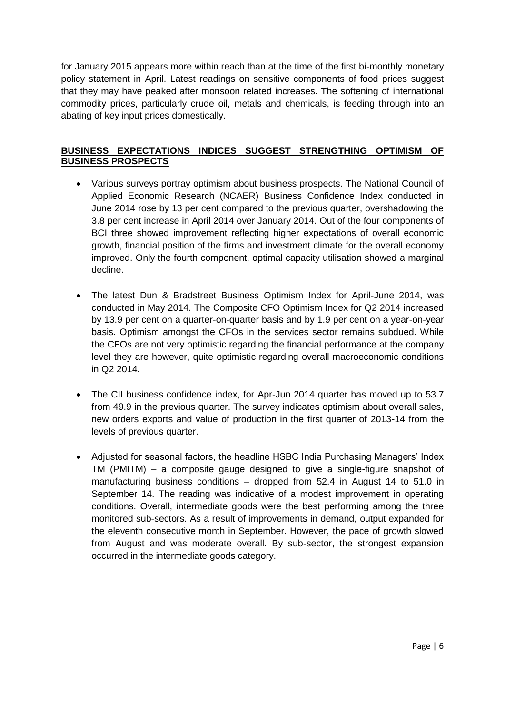for January 2015 appears more within reach than at the time of the first bi-monthly monetary policy statement in April. Latest readings on sensitive components of food prices suggest that they may have peaked after monsoon related increases. The softening of international commodity prices, particularly crude oil, metals and chemicals, is feeding through into an abating of key input prices domestically.

# **BUSINESS EXPECTATIONS INDICES SUGGEST STRENGTHING OPTIMISM OF BUSINESS PROSPECTS**

- Various surveys portray optimism about business prospects. The National Council of Applied Economic Research (NCAER) Business Confidence Index conducted in June 2014 rose by 13 per cent compared to the previous quarter, overshadowing the 3.8 per cent increase in April 2014 over January 2014. Out of the four components of BCI three showed improvement reflecting higher expectations of overall economic growth, financial position of the firms and investment climate for the overall economy improved. Only the fourth component, optimal capacity utilisation showed a marginal decline.
- The latest Dun & Bradstreet Business Optimism Index for April-June 2014, was conducted in May 2014. The Composite CFO Optimism Index for Q2 2014 increased by 13.9 per cent on a quarter-on-quarter basis and by 1.9 per cent on a year-on-year basis. Optimism amongst the CFOs in the services sector remains subdued. While the CFOs are not very optimistic regarding the financial performance at the company level they are however, quite optimistic regarding overall macroeconomic conditions in Q2 2014.
- The CII business confidence index, for Apr-Jun 2014 quarter has moved up to 53.7 from 49.9 in the previous quarter. The survey indicates optimism about overall sales, new orders exports and value of production in the first quarter of 2013-14 from the levels of previous quarter.
- Adjusted for seasonal factors, the headline HSBC India Purchasing Managers' Index TM (PMITM) – a composite gauge designed to give a single-figure snapshot of manufacturing business conditions – dropped from 52.4 in August 14 to 51.0 in September 14. The reading was indicative of a modest improvement in operating conditions. Overall, intermediate goods were the best performing among the three monitored sub-sectors. As a result of improvements in demand, output expanded for the eleventh consecutive month in September. However, the pace of growth slowed from August and was moderate overall. By sub-sector, the strongest expansion occurred in the intermediate goods category.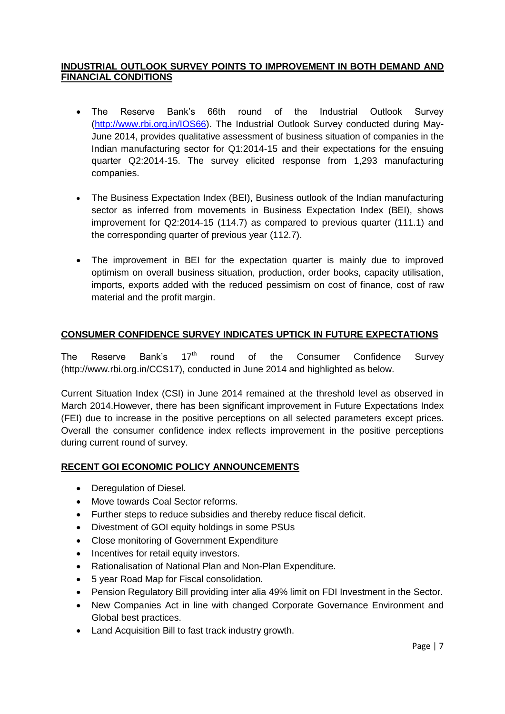#### **INDUSTRIAL OUTLOOK SURVEY POINTS TO IMPROVEMENT IN BOTH DEMAND AND FINANCIAL CONDITIONS**

- The Reserve Bank's 66th round of the Industrial Outlook Survey [\(http://www.rbi.org.in/IOS66\)](http://www.rbi.org.in/IOS66). The Industrial Outlook Survey conducted during May-June 2014, provides qualitative assessment of business situation of companies in the Indian manufacturing sector for Q1:2014-15 and their expectations for the ensuing quarter Q2:2014-15. The survey elicited response from 1,293 manufacturing companies.
- The Business Expectation Index (BEI), Business outlook of the Indian manufacturing sector as inferred from movements in Business Expectation Index (BEI), shows improvement for Q2:2014-15 (114.7) as compared to previous quarter (111.1) and the corresponding quarter of previous year (112.7).
- The improvement in BEI for the expectation quarter is mainly due to improved optimism on overall business situation, production, order books, capacity utilisation, imports, exports added with the reduced pessimism on cost of finance, cost of raw material and the profit margin.

# **CONSUMER CONFIDENCE SURVEY INDICATES UPTICK IN FUTURE EXPECTATIONS**

The Reserve Bank's 17<sup>th</sup> round of the Consumer Confidence Survey (http://www.rbi.org.in/CCS17), conducted in June 2014 and highlighted as below.

Current Situation Index (CSI) in June 2014 remained at the threshold level as observed in March 2014.However, there has been significant improvement in Future Expectations Index (FEI) due to increase in the positive perceptions on all selected parameters except prices. Overall the consumer confidence index reflects improvement in the positive perceptions during current round of survey.

#### **RECENT GOI ECONOMIC POLICY ANNOUNCEMENTS**

- Deregulation of Diesel.
- Move towards Coal Sector reforms.
- Further steps to reduce subsidies and thereby reduce fiscal deficit.
- Divestment of GOI equity holdings in some PSUs
- Close monitoring of Government Expenditure
- Incentives for retail equity investors.
- Rationalisation of National Plan and Non-Plan Expenditure.
- 5 year Road Map for Fiscal consolidation.
- Pension Regulatory Bill providing inter alia 49% limit on FDI Investment in the Sector.
- New Companies Act in line with changed Corporate Governance Environment and Global best practices.
- Land Acquisition Bill to fast track industry growth.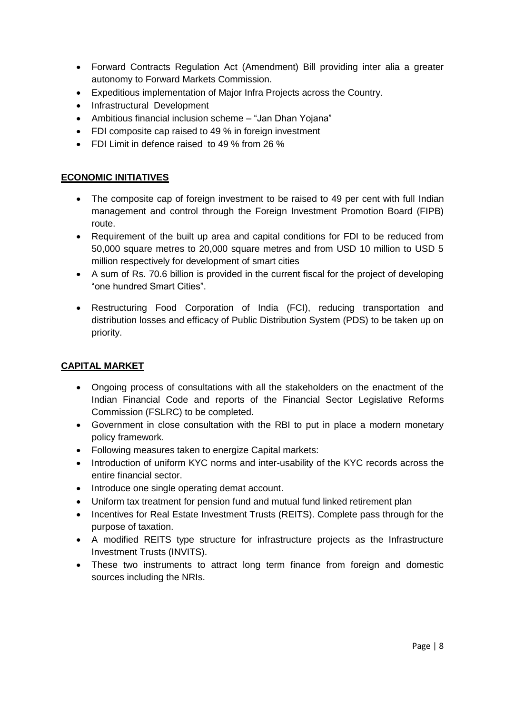- Forward Contracts Regulation Act (Amendment) Bill providing inter alia a greater autonomy to Forward Markets Commission.
- Expeditious implementation of Major Infra Projects across the Country.
- Infrastructural Development
- Ambitious financial inclusion scheme "Jan Dhan Yojana"
- FDI composite cap raised to 49 % in foreign investment
- FDI Limit in defence raised to 49 % from 26 %

#### **ECONOMIC INITIATIVES**

- The composite cap of foreign investment to be raised to 49 per cent with full Indian management and control through the Foreign Investment Promotion Board (FIPB) route.
- Requirement of the built up area and capital conditions for FDI to be reduced from 50,000 square metres to 20,000 square metres and from USD 10 million to USD 5 million respectively for development of smart cities
- A sum of Rs. 70.6 billion is provided in the current fiscal for the project of developing "one hundred Smart Cities".
- Restructuring Food Corporation of India (FCI), reducing transportation and distribution losses and efficacy of Public Distribution System (PDS) to be taken up on priority.

# **CAPITAL MARKET**

- Ongoing process of consultations with all the stakeholders on the enactment of the Indian Financial Code and reports of the Financial Sector Legislative Reforms Commission (FSLRC) to be completed.
- Government in close consultation with the RBI to put in place a modern monetary policy framework.
- Following measures taken to energize Capital markets:
- Introduction of uniform KYC norms and inter-usability of the KYC records across the entire financial sector.
- Introduce one single operating demat account.
- Uniform tax treatment for pension fund and mutual fund linked retirement plan
- Incentives for Real Estate Investment Trusts (REITS). Complete pass through for the purpose of taxation.
- A modified REITS type structure for infrastructure projects as the Infrastructure Investment Trusts (INVITS).
- These two instruments to attract long term finance from foreign and domestic sources including the NRIs.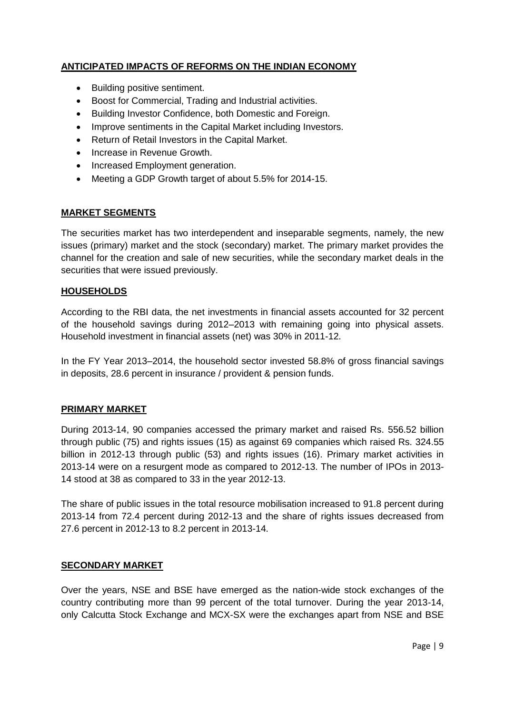# **ANTICIPATED IMPACTS OF REFORMS ON THE INDIAN ECONOMY**

- Building positive sentiment.
- Boost for Commercial, Trading and Industrial activities.
- Building Investor Confidence, both Domestic and Foreign.
- Improve sentiments in the Capital Market including Investors.
- Return of Retail Investors in the Capital Market.
- Increase in Revenue Growth.
- Increased Employment generation.
- Meeting a GDP Growth target of about 5.5% for 2014-15.

# **MARKET SEGMENTS**

The securities market has two interdependent and inseparable segments, namely, the new issues (primary) market and the stock (secondary) market. The primary market provides the channel for the creation and sale of new securities, while the secondary market deals in the securities that were issued previously.

#### **HOUSEHOLDS**

According to the RBI data, the net investments in financial assets accounted for 32 percent of the household savings during 2012–2013 with remaining going into physical assets. Household investment in financial assets (net) was 30% in 2011-12.

In the FY Year 2013–2014, the household sector invested 58.8% of gross financial savings in deposits, 28.6 percent in insurance / provident & pension funds.

#### **PRIMARY MARKET**

During 2013-14, 90 companies accessed the primary market and raised Rs. 556.52 billion through public (75) and rights issues (15) as against 69 companies which raised Rs. 324.55 billion in 2012-13 through public (53) and rights issues (16). Primary market activities in 2013-14 were on a resurgent mode as compared to 2012-13. The number of IPOs in 2013- 14 stood at 38 as compared to 33 in the year 2012-13.

The share of public issues in the total resource mobilisation increased to 91.8 percent during 2013-14 from 72.4 percent during 2012-13 and the share of rights issues decreased from 27.6 percent in 2012-13 to 8.2 percent in 2013-14.

#### **SECONDARY MARKET**

Over the years, NSE and BSE have emerged as the nation-wide stock exchanges of the country contributing more than 99 percent of the total turnover. During the year 2013-14, only Calcutta Stock Exchange and MCX-SX were the exchanges apart from NSE and BSE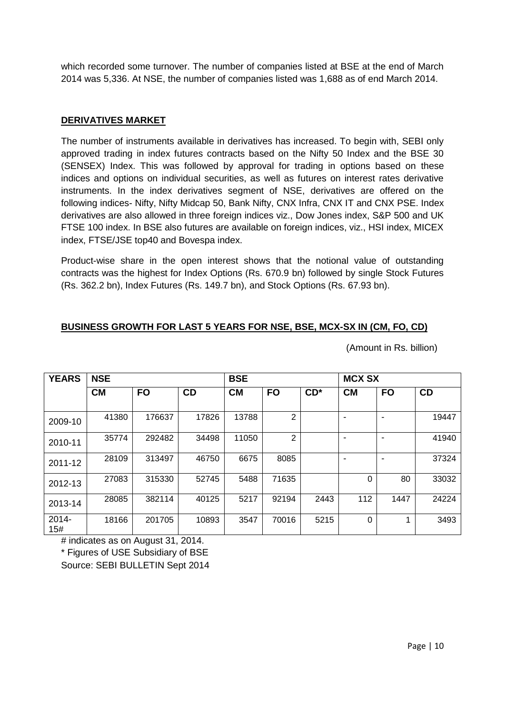which recorded some turnover. The number of companies listed at BSE at the end of March 2014 was 5,336. At NSE, the number of companies listed was 1,688 as of end March 2014.

#### **DERIVATIVES MARKET**

The number of instruments available in derivatives has increased. To begin with, SEBI only approved trading in index futures contracts based on the Nifty 50 Index and the BSE 30 (SENSEX) Index. This was followed by approval for trading in options based on these indices and options on individual securities, as well as futures on interest rates derivative instruments. In the index derivatives segment of NSE, derivatives are offered on the following indices- Nifty, Nifty Midcap 50, Bank Nifty, CNX Infra, CNX IT and CNX PSE. Index derivatives are also allowed in three foreign indices viz., Dow Jones index, S&P 500 and UK FTSE 100 index. In BSE also futures are available on foreign indices, viz., HSI index, MICEX index, FTSE/JSE top40 and Bovespa index.

Product-wise share in the open interest shows that the notional value of outstanding contracts was the highest for Index Options (Rs. 670.9 bn) followed by single Stock Futures (Rs. 362.2 bn), Index Futures (Rs. 149.7 bn), and Stock Options (Rs. 67.93 bn).

# **BUSINESS GROWTH FOR LAST 5 YEARS FOR NSE, BSE, MCX-SX IN (CM, FO, CD)**

| <b>YEARS</b> | <b>NSE</b> |           |           | <b>BSE</b> |                |        | <b>MCX SX</b> |                          |       |
|--------------|------------|-----------|-----------|------------|----------------|--------|---------------|--------------------------|-------|
|              | <b>CM</b>  | <b>FO</b> | <b>CD</b> | <b>CM</b>  | <b>FO</b>      | $CD^*$ | <b>CM</b>     | <b>FO</b>                | CD    |
| 2009-10      | 41380      | 176637    | 17826     | 13788      | $\overline{2}$ |        |               |                          | 19447 |
| 2010-11      | 35774      | 292482    | 34498     | 11050      | 2              |        |               |                          | 41940 |
| 2011-12      | 28109      | 313497    | 46750     | 6675       | 8085           |        |               | $\overline{\phantom{0}}$ | 37324 |
| 2012-13      | 27083      | 315330    | 52745     | 5488       | 71635          |        | $\Omega$      | 80                       | 33032 |
| 2013-14      | 28085      | 382114    | 40125     | 5217       | 92194          | 2443   | 112           | 1447                     | 24224 |
| 2014-<br>15# | 18166      | 201705    | 10893     | 3547       | 70016          | 5215   | $\Omega$      |                          | 3493  |

(Amount in Rs. billion)

# indicates as on August 31, 2014.

\* Figures of USE Subsidiary of BSE

Source: SEBI BULLETIN Sept 2014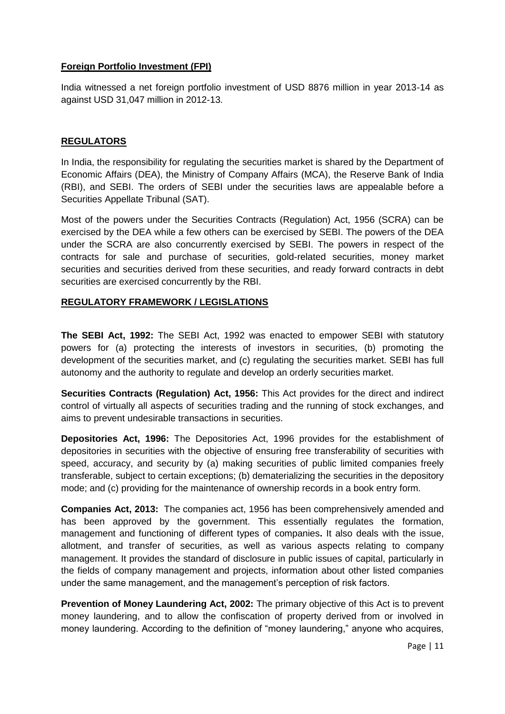#### **Foreign Portfolio Investment (FPI)**

India witnessed a net foreign portfolio investment of USD 8876 million in year 2013-14 as against USD 31,047 million in 2012-13.

### **REGULATORS**

In India, the responsibility for regulating the securities market is shared by the Department of Economic Affairs (DEA), the Ministry of Company Affairs (MCA), the Reserve Bank of India (RBI), and SEBI. The orders of SEBI under the securities laws are appealable before a Securities Appellate Tribunal (SAT).

Most of the powers under the Securities Contracts (Regulation) Act, 1956 (SCRA) can be exercised by the DEA while a few others can be exercised by SEBI. The powers of the DEA under the SCRA are also concurrently exercised by SEBI. The powers in respect of the contracts for sale and purchase of securities, gold-related securities, money market securities and securities derived from these securities, and ready forward contracts in debt securities are exercised concurrently by the RBI.

# **REGULATORY FRAMEWORK / LEGISLATIONS**

**The SEBI Act, 1992:** The SEBI Act, 1992 was enacted to empower SEBI with statutory powers for (a) protecting the interests of investors in securities, (b) promoting the development of the securities market, and (c) regulating the securities market. SEBI has full autonomy and the authority to regulate and develop an orderly securities market.

**Securities Contracts (Regulation) Act, 1956:** This Act provides for the direct and indirect control of virtually all aspects of securities trading and the running of stock exchanges, and aims to prevent undesirable transactions in securities.

**Depositories Act, 1996:** The Depositories Act, 1996 provides for the establishment of depositories in securities with the objective of ensuring free transferability of securities with speed, accuracy, and security by (a) making securities of public limited companies freely transferable, subject to certain exceptions; (b) dematerializing the securities in the depository mode; and (c) providing for the maintenance of ownership records in a book entry form.

**Companies Act, 2013:** The companies act, 1956 has been comprehensively amended and has been approved by the government. This essentially regulates the formation, management and functioning of different types of companies**.** It also deals with the issue, allotment, and transfer of securities, as well as various aspects relating to company management. It provides the standard of disclosure in public issues of capital, particularly in the fields of company management and projects, information about other listed companies under the same management, and the management's perception of risk factors.

**Prevention of Money Laundering Act, 2002:** The primary objective of this Act is to prevent money laundering, and to allow the confiscation of property derived from or involved in money laundering. According to the definition of "money laundering," anyone who acquires,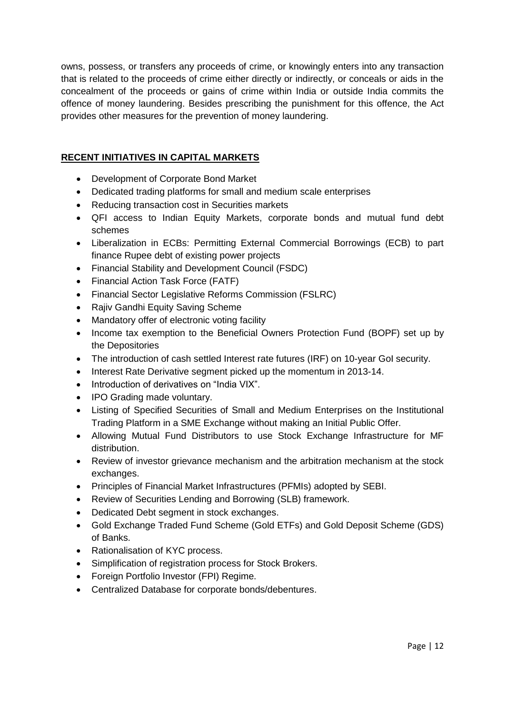owns, possess, or transfers any proceeds of crime, or knowingly enters into any transaction that is related to the proceeds of crime either directly or indirectly, or conceals or aids in the concealment of the proceeds or gains of crime within India or outside India commits the offence of money laundering. Besides prescribing the punishment for this offence, the Act provides other measures for the prevention of money laundering.

# **RECENT INITIATIVES IN CAPITAL MARKETS**

- Development of Corporate Bond Market
- Dedicated trading platforms for small and medium scale enterprises
- Reducing transaction cost in Securities markets
- QFI access to Indian Equity Markets, corporate bonds and mutual fund debt schemes
- Liberalization in ECBs: Permitting External Commercial Borrowings (ECB) to part finance Rupee debt of existing power projects
- Financial Stability and Development Council (FSDC)
- Financial Action Task Force (FATF)
- Financial Sector Legislative Reforms Commission (FSLRC)
- Rajiv Gandhi Equity Saving Scheme
- Mandatory offer of electronic voting facility
- Income tax exemption to the Beneficial Owners Protection Fund (BOPF) set up by the Depositories
- The introduction of cash settled Interest rate futures (IRF) on 10-year GoI security.
- Interest Rate Derivative segment picked up the momentum in 2013-14.
- Introduction of derivatives on "India VIX".
- IPO Grading made voluntary.
- Listing of Specified Securities of Small and Medium Enterprises on the Institutional Trading Platform in a SME Exchange without making an Initial Public Offer.
- Allowing Mutual Fund Distributors to use Stock Exchange Infrastructure for MF distribution.
- Review of investor grievance mechanism and the arbitration mechanism at the stock exchanges.
- Principles of Financial Market Infrastructures (PFMIs) adopted by SEBI.
- Review of Securities Lending and Borrowing (SLB) framework.
- Dedicated Debt segment in stock exchanges.
- Gold Exchange Traded Fund Scheme (Gold ETFs) and Gold Deposit Scheme (GDS) of Banks.
- Rationalisation of KYC process.
- Simplification of registration process for Stock Brokers.
- Foreign Portfolio Investor (FPI) Regime.
- Centralized Database for corporate bonds/debentures.